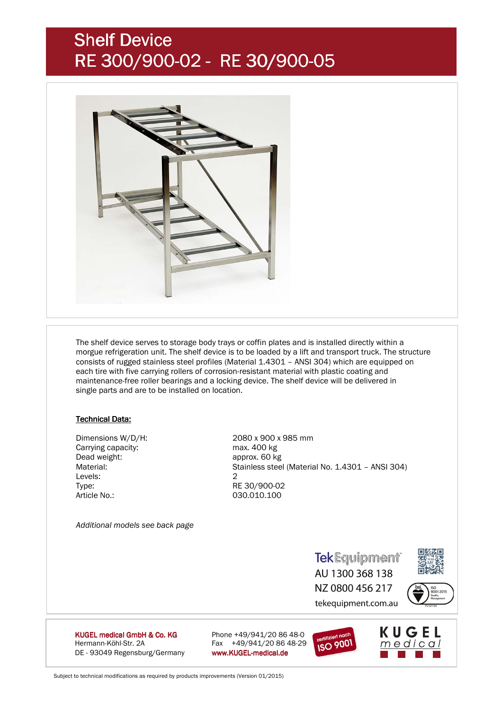# Shelf Device RE 300/900-02 - RE 30/900-05



 The shelf device serves to storage body trays or coffin plates and is installed directly within a morgue refrigeration unit. The shelf device is to be loaded by a lift and transport truck. The structure consists of rugged stainless steel profiles (Material 1.4301 – ANSI 304) which are equipped on each tire with five carrying rollers of corrosion-resistant material with plastic coating and maintenance-free roller bearings and a locking device. The shelf device will be delivered in single parts and are to be installed on location.

### **Technical Data:**

Carrying capacity:<br>
Dead weight: example approx. 60 kg<br>
approx. 60 kg Levels: 2 Type: RE 30/900-02 Article No.: 030.010.100

 Dimensions W/D/H: 2080 x 900 x 985 mm approx. 60 kg Material: Stainless steel (Material No. 1.4301 – ANSI 304)

*Additional models see back page* 

**TekEquipment** AU 1300 368 138



NZ 0800 456 217 tekequipment.com.au



KUGEL medical GmbH & Co. KG Hermann-Köhl-Str. 2A Fax +49/941/20 86 48-29 DE - 93049 Regensburg/Germany www.KUGEL-medical.de

Phone  $+49/941/20 86 48-0$ 





Subject to technical modifications as required by products improvements (Version 01/2015)